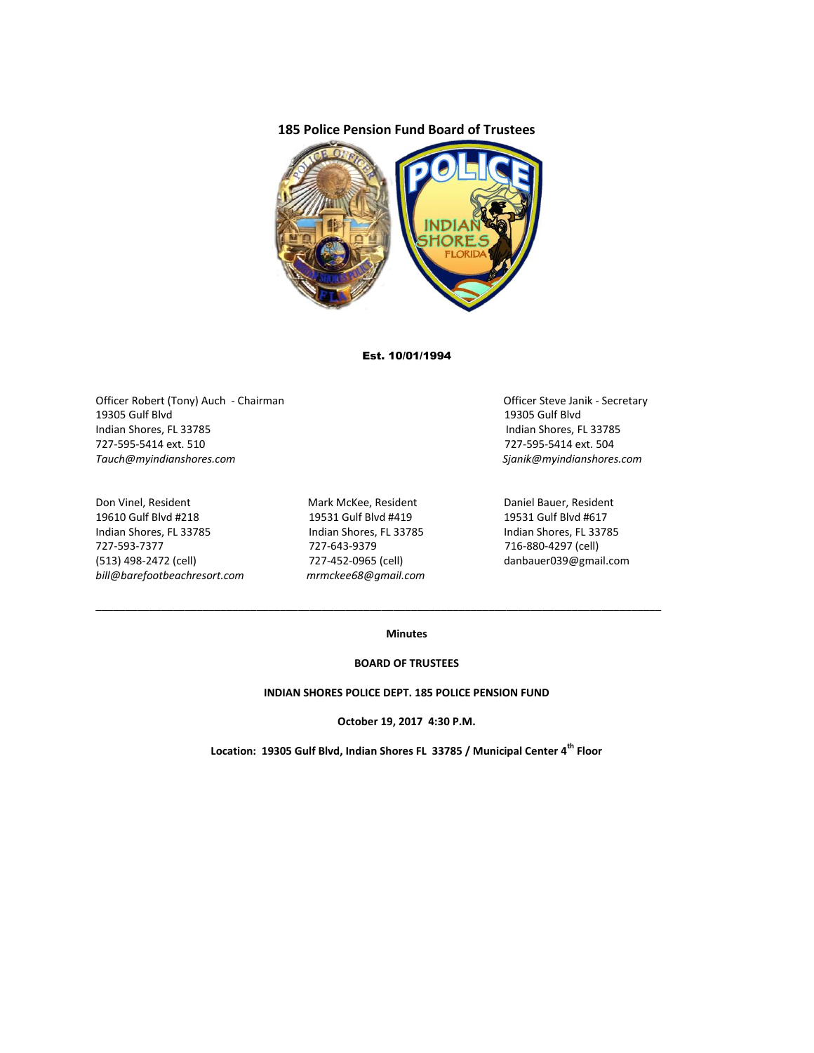## **185 Police Pension Fund Board of Trustees**



### Est. 10/01/1994

Officer Robert (Tony) Auch - Chairman Chairman Chairman Officer Steve Janik - Secretary 19305 Gulf Blvd 19305 Gulf Blvd Indian Shores, FL 33785 Indian Shores, FL 33785 727-595-5414 ext. 510 727-595-5414 ext. 504 *Tauch@myindianshores.com Sjanik@myindianshores.com*

Don Vinel, Resident Mark McKee, Resident Daniel Bauer, Resident 19610 Gulf Blvd #218 19531 Gulf Blvd #419 19531 Gulf Blvd #617 Indian Shores, FL 33785 Indian Shores, FL 33785 Indian Shores, FL 33785 727-593-7377 727-643-9379 716-880-4297 (cell) (513) 498-2472 (cell) 727-452-0965 (cell) danbauer039@gmail.com *bill@barefootbeachresort.com mrmckee68@gmail.com*

\_\_\_\_\_\_\_\_\_\_\_\_\_\_\_\_\_\_\_\_\_\_\_\_\_\_\_\_\_\_\_\_\_\_\_\_\_\_\_\_\_\_\_\_\_\_\_\_\_\_\_\_\_\_\_\_\_\_\_\_\_\_\_\_\_\_\_\_\_\_\_\_\_\_\_\_\_\_\_\_\_\_\_\_\_\_\_\_\_\_\_\_\_\_\_

### **Minutes**

#### **BOARD OF TRUSTEES**

#### **INDIAN SHORES POLICE DEPT. 185 POLICE PENSION FUND**

**October 19, 2017 4:30 P.M.**

**Location: 19305 Gulf Blvd, Indian Shores FL 33785 / Municipal Center 4th Floor**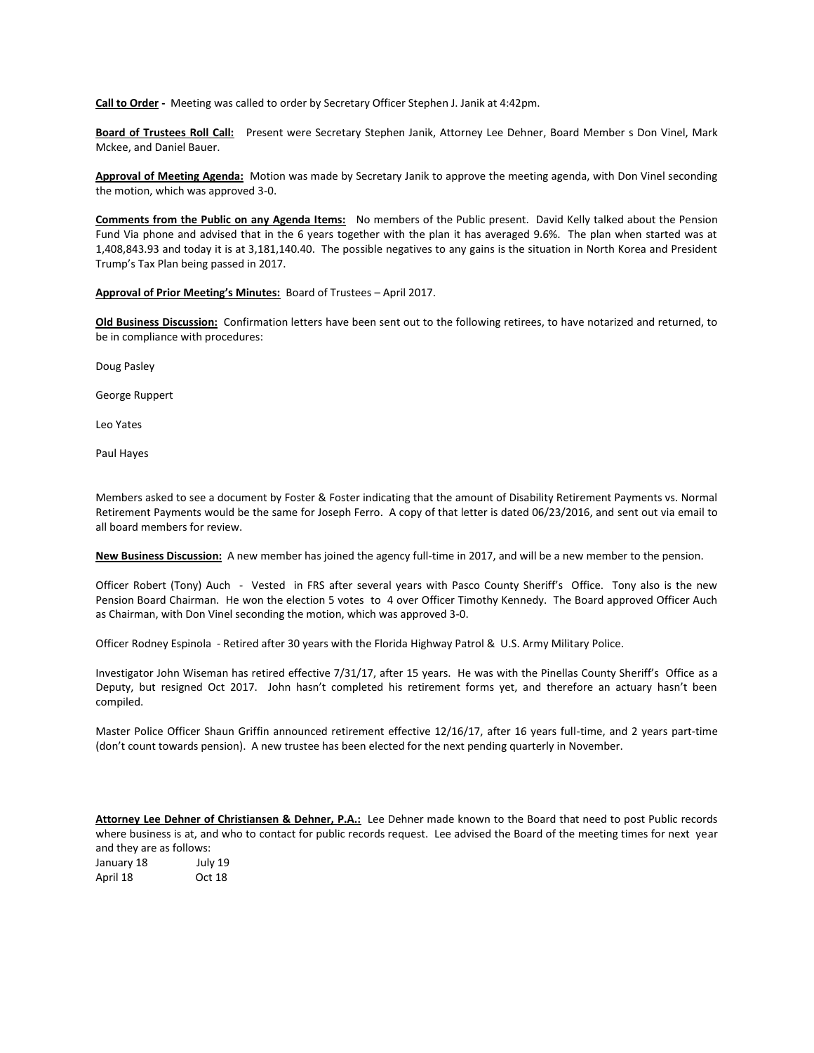**Call to Order -** Meeting was called to order by Secretary Officer Stephen J. Janik at 4:42pm.

**Board of Trustees Roll Call:** Present were Secretary Stephen Janik, Attorney Lee Dehner, Board Member s Don Vinel, Mark Mckee, and Daniel Bauer.

**Approval of Meeting Agenda:** Motion was made by Secretary Janik to approve the meeting agenda, with Don Vinel seconding the motion, which was approved 3-0.

**Comments from the Public on any Agenda Items:** No members of the Public present. David Kelly talked about the Pension Fund Via phone and advised that in the 6 years together with the plan it has averaged 9.6%. The plan when started was at 1,408,843.93 and today it is at 3,181,140.40. The possible negatives to any gains is the situation in North Korea and President Trump's Tax Plan being passed in 2017.

#### **Approval of Prior Meeting's Minutes:** Board of Trustees – April 2017.

**Old Business Discussion:** Confirmation letters have been sent out to the following retirees, to have notarized and returned, to be in compliance with procedures:

Doug Pasley

George Ruppert

Leo Yates

Paul Hayes

Members asked to see a document by Foster & Foster indicating that the amount of Disability Retirement Payments vs. Normal Retirement Payments would be the same for Joseph Ferro. A copy of that letter is dated 06/23/2016, and sent out via email to all board members for review.

**New Business Discussion:** A new member has joined the agency full-time in 2017, and will be a new member to the pension.

Officer Robert (Tony) Auch - Vested in FRS after several years with Pasco County Sheriff's Office. Tony also is the new Pension Board Chairman. He won the election 5 votes to 4 over Officer Timothy Kennedy. The Board approved Officer Auch as Chairman, with Don Vinel seconding the motion, which was approved 3-0.

Officer Rodney Espinola - Retired after 30 years with the Florida Highway Patrol & U.S. Army Military Police.

Investigator John Wiseman has retired effective 7/31/17, after 15 years. He was with the Pinellas County Sheriff's Office as a Deputy, but resigned Oct 2017. John hasn't completed his retirement forms yet, and therefore an actuary hasn't been compiled.

Master Police Officer Shaun Griffin announced retirement effective 12/16/17, after 16 years full-time, and 2 years part-time (don't count towards pension). A new trustee has been elected for the next pending quarterly in November.

**Attorney Lee Dehner of Christiansen & Dehner, P.A.:** Lee Dehner made known to the Board that need to post Public records where business is at, and who to contact for public records request. Lee advised the Board of the meeting times for next year and they are as follows:

January 18 July 19 April 18 Oct 18